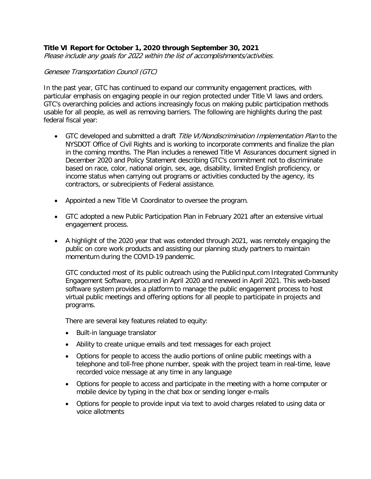## **Title VI Report for October 1, 2020 through September 30, 2021**

Please include any goals for 2022 within the list of accomplishments/activities.

#### Genesee Transportation Council (GTC)

In the past year, GTC has continued to expand our community engagement practices, with particular emphasis on engaging people in our region protected under Title VI laws and orders. GTC's overarching policies and actions increasingly focus on making public participation methods usable for all people, as well as removing barriers. The following are highlights during the past federal fiscal year:

- GTC developed and submitted a draft Title VI/Nondiscrimination Implementation Plan to the NYSDOT Office of Civil Rights and is working to incorporate comments and finalize the plan in the coming months. The Plan includes a renewed Title VI Assurances document signed in December 2020 and Policy Statement describing GTC's commitment not to discriminate based on race, color, national origin, sex, age, disability, limited English proficiency, or income status when carrying out programs or activities conducted by the agency, its contractors, or subrecipients of Federal assistance.
- Appointed a new Title VI Coordinator to oversee the program.
- GTC adopted a new Public Participation Plan in February 2021 after an extensive virtual engagement process.
- A highlight of the 2020 year that was extended through 2021, was remotely engaging the public on core work products and assisting our planning study partners to maintain momentum during the COVID-19 pandemic.

GTC conducted most of its public outreach using the PublicInput.com Integrated Community Engagement Software, procured in April 2020 and renewed in April 2021. This web-based software system provides a platform to manage the public engagement process to host virtual public meetings and offering options for all people to participate in projects and programs.

There are several key features related to equity:

- Built-in language translator
- Ability to create unique emails and text messages for each project
- Options for people to access the audio portions of online public meetings with a telephone and toll-free phone number, speak with the project team in real-time, leave recorded voice message at any time in any language
- Options for people to access and participate in the meeting with a home computer or mobile device by typing in the chat box or sending longer e-mails
- Options for people to provide input via text to avoid charges related to using data or voice allotments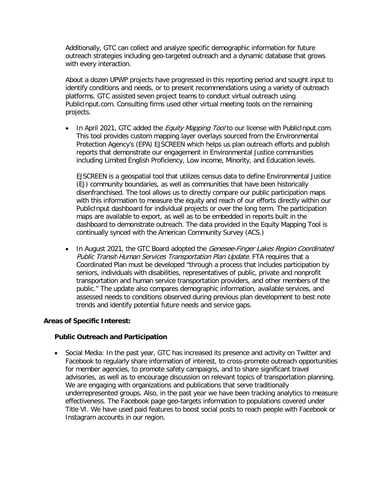Additionally, GTC can collect and analyze specific demographic information for future outreach strategies including geo-targeted outreach and a dynamic database that grows with every interaction.

About a dozen UPWP projects have progressed in this reporting period and sought input to identify conditions and needs, or to present recommendations using a variety of outreach platforms. GTC assisted seven project teams to conduct virtual outreach using PublicInput.com. Consulting firms used other virtual meeting tools on the remaining projects.

• In April 2021, GTC added the *Equity Mapping Tool* to our license with PublicInput.com. This tool provides custom mapping layer overlays sourced from the Environmental Protection Agency's (EPA) EJSCREEN which helps us plan outreach efforts and publish reports that demonstrate our engagement in Environmental Justice communities including Limited English Proficiency, Low income, Minority, and Education levels.

EJSCREEN is a geospatial tool that utilizes census data to define Environmental Justice (EJ) community boundaries, as well as communities that have been historically disenfranchised. The tool allows us to directly compare our public participation maps with this information to measure the equity and reach of our efforts directly within our PublicInput dashboard for individual projects or over the long term. The participation maps are available to export, as well as to be embedded in reports built in the dashboard to demonstrate outreach. The data provided in the Equity Mapping Tool is continually synced with the American Community Survey (ACS.)

• In August 2021, the GTC Board adopted the Genesee-Finger Lakes Region Coordinated Public Transit-Human Services Transportation Plan Update. FTA requires that a Coordinated Plan must be developed "through a process that includes participation by seniors, individuals with disabilities, representatives of public, private and nonprofit transportation and human service transportation providers, and other members of the public." The update also compares demographic information, available services, and assessed needs to conditions observed during previous plan development to best note trends and identify potential future needs and service gaps.

### **Areas of Specific Interest:**

#### **Public Outreach and Participation**

• Social Media: In the past year, GTC has increased its presence and activity on Twitter and Facebook to regularly share information of interest, to cross-promote outreach opportunities for member agencies, to promote safety campaigns, and to share significant travel advisories, as well as to encourage discussion on relevant topics of transportation planning. We are engaging with organizations and publications that serve traditionally underrepresented groups. Also, in the past year we have been tracking analytics to measure effectiveness. The Facebook page geo-targets information to populations covered under Title VI. We have used paid features to boost social posts to reach people with Facebook or Instagram accounts in our region.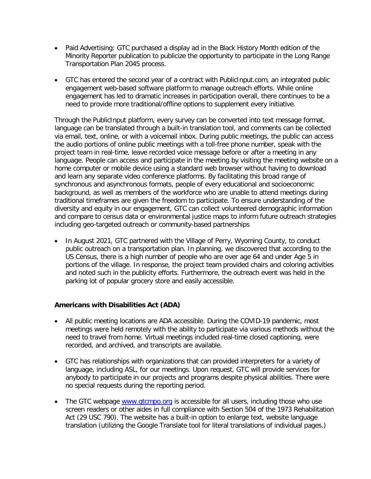- Paid Advertising: GTC purchased a display ad in the Black History Month edition of the Minority Reporter publication to publicize the opportunity to participate in the Long Range Transportation Plan 2045 process.
- GTC has entered the second year of a contract with PublicInput.com, an integrated public engagement web-based software platform to manage outreach efforts. While online engagement has led to dramatic increases in participation overall, there continues to be a need to provide more traditional/offline options to supplement every initiative.

Through the PublicInput platform, every survey can be converted into text message format, language can be translated through a built-in translation tool, and comments can be collected via email, text, online, or with a voicemail inbox. During public meetings, the public can access the audio portions of online public meetings with a toll-free phone number, speak with the project team in real-time, leave recorded voice message before or after a meeting in any language. People can access and participate in the meeting by visiting the meeting website on a home computer or mobile device using a standard web browser without having to download and learn any separate video conference platforms. By facilitating this broad range of synchronous and asynchronous formats, people of every educational and socioeconomic background, as well as members of the workforce who are unable to attend meetings during traditional timeframes are given the freedom to participate. To ensure understanding of the diversity and equity in our engagement, GTC can collect volunteered demographic information and compare to census data or environmental justice maps to inform future outreach strategies including geo-targeted outreach or community-based partnerships

• In August 2021, GTC partnered with the Village of Perry, Wyoming County, to conduct public outreach on a transportation plan. In planning, we discovered that according to the US Census, there is a high number of people who are over age 64 and under Age 5 in portions of the village. In response, the project team provided chairs and coloring activities and noted such in the publicity efforts. Furthermore, the outreach event was held in the parking lot of popular grocery store and easily accessible.

### **Americans with Disabilities Act (ADA)**

- All public meeting locations are ADA accessible. During the COVID-19 pandemic, most meetings were held remotely with the ability to participate via various methods without the need to travel from home. Virtual meetings included real-time closed captioning, were recorded, and archived, and transcripts are available.
- GTC has relationships with organizations that can provided interpreters for a variety of language, including ASL, for our meetings. Upon request, GTC will provide services for anybody to participate in our projects and programs despite physical abilities. There were no special requests during the reporting period.
- The GTC webpage [www.gtcmpo.org](http://www.gtcmpo.org/) is accessible for all users, including those who use screen readers or other aides in full compliance with Section 504 of the 1973 Rehabilitation Act (29 USC 790). The website has a built-in option to enlarge text, website language translation (utilizing the Google Translate tool for literal translations of individual pages.)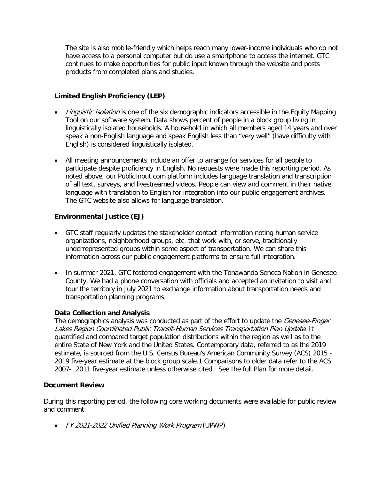The site is also mobile-friendly which helps reach many lower-income individuals who do not have access to a personal computer but do use a smartphone to access the internet. GTC continues to make opportunities for public input known through the website and posts products from completed plans and studies.

# **Limited English Proficiency (LEP)**

- Linguistic isolation is one of the six demographic indicators accessible in the Equity Mapping Tool on our software system. Data shows percent of people in a block group living in linguistically isolated households. A household in which all members aged 14 years and over speak a non-English language and speak English less than "very well" (have difficulty with English) is considered linguistically isolated.
- All meeting announcements include an offer to arrange for services for all people to participate despite proficiency in English. No requests were made this reporting period. As noted above, our PublicInput.com platform includes language translation and transcription of all text, surveys, and livestreamed videos. People can view and comment in their native language with translation to English for integration into our public engagement archives. The GTC website also allows for language translation.

### **Environmental Justice (EJ)**

- GTC staff regularly updates the stakeholder contact information noting human service organizations, neighborhood groups, etc. that work with, or serve, traditionally underrepresented groups within some aspect of transportation. We can share this information across our public engagement platforms to ensure full integration.
- In summer 2021, GTC fostered engagement with the Tonawanda Seneca Nation in Genesee County. We had a phone conversation with officials and accepted an invitation to visit and tour the territory in July 2021 to exchange information about transportation needs and transportation planning programs.

### **Data Collection and Analysis**

The demographics analysis was conducted as part of the effort to update the *Genesee-Finger* Lakes Region Coordinated Public Transit-Human Services Transportation Plan Update. It quantified and compared target population distributions within the region as well as to the entire State of New York and the United States. Contemporary data, referred to as the 2019 estimate, is sourced from the U.S. Census Bureau's American Community Survey (ACS) 2015 - 2019 five-year estimate at the block group scale.1 Comparisons to older data refer to the ACS 2007- 2011 five-year estimate unless otherwise cited. See the full Plan for more detail.

### **Document Review**

During this reporting period, the following core working documents were available for public review and comment:

• FY 2021-2022 Unified Planning Work Program (UPWP)